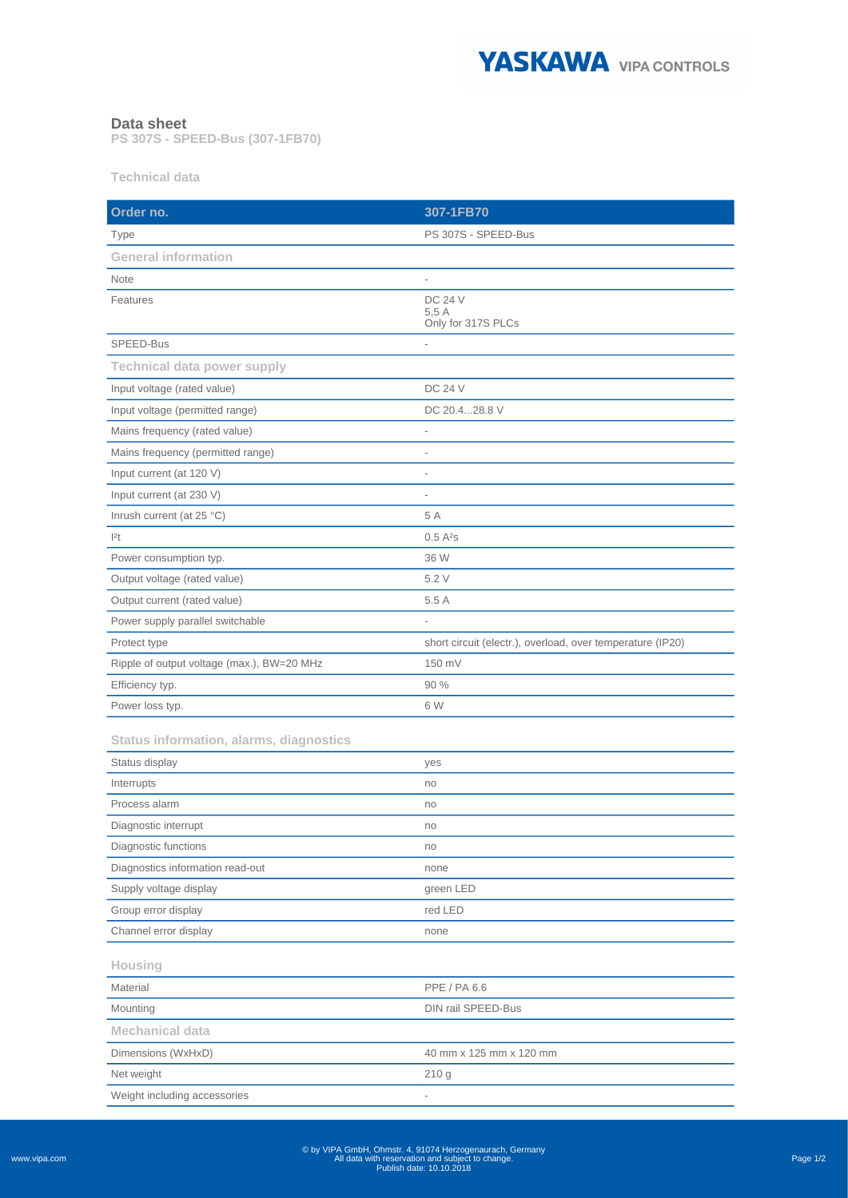

## **Data sheet**

**PS 307S - SPEED-Bus (307-1FB70)**

**Technical data**

| Order no.                                      | 307-1FB70                                                  |
|------------------------------------------------|------------------------------------------------------------|
| Type                                           | PS 307S - SPEED-Bus                                        |
| <b>General information</b>                     |                                                            |
| <b>Note</b>                                    |                                                            |
| Features                                       | <b>DC 24 V</b><br>5.5A<br>Only for 317S PLCs               |
| SPEED-Bus                                      |                                                            |
| <b>Technical data power supply</b>             |                                                            |
| Input voltage (rated value)                    | <b>DC 24 V</b>                                             |
| Input voltage (permitted range)                | DC 20.428.8 V                                              |
| Mains frequency (rated value)                  |                                                            |
| Mains frequency (permitted range)              |                                                            |
| Input current (at 120 V)                       | $\overline{a}$                                             |
| Input current (at 230 V)                       | L                                                          |
| Inrush current (at 25 °C)                      | 5 A                                                        |
| 2t                                             | 0.5A <sup>2</sup> S                                        |
| Power consumption typ.                         | 36 W                                                       |
| Output voltage (rated value)                   | 5.2 V                                                      |
| Output current (rated value)                   | 5.5 A                                                      |
| Power supply parallel switchable               |                                                            |
| Protect type                                   | short circuit (electr.), overload, over temperature (IP20) |
| Ripple of output voltage (max.), BW=20 MHz     | 150 mV                                                     |
| Efficiency typ.                                | 90 %                                                       |
| Power loss typ.                                | 6 W                                                        |
| <b>Status information, alarms, diagnostics</b> |                                                            |
| Status display                                 | yes                                                        |
| Interrupts                                     | no                                                         |
| Process alarm                                  | no                                                         |
| Diagnostic interrupt                           | no                                                         |
| Diagnostic functions                           | no                                                         |
| Diagnostics information read-out               | none                                                       |
| Supply voltage display                         | green LED                                                  |
| Group error display                            | red LED                                                    |
| Channel error display                          | none                                                       |
| Housing                                        |                                                            |
| Material                                       | PPE / PA 6.6                                               |
| Mounting                                       | <b>DIN rail SPEED-Bus</b>                                  |
| <b>Mechanical data</b>                         |                                                            |
| Dimensions (WxHxD)                             | 40 mm x 125 mm x 120 mm                                    |
| Net weight                                     | 210 g                                                      |
| Weight including accessories                   | $\overline{\phantom{a}}$                                   |